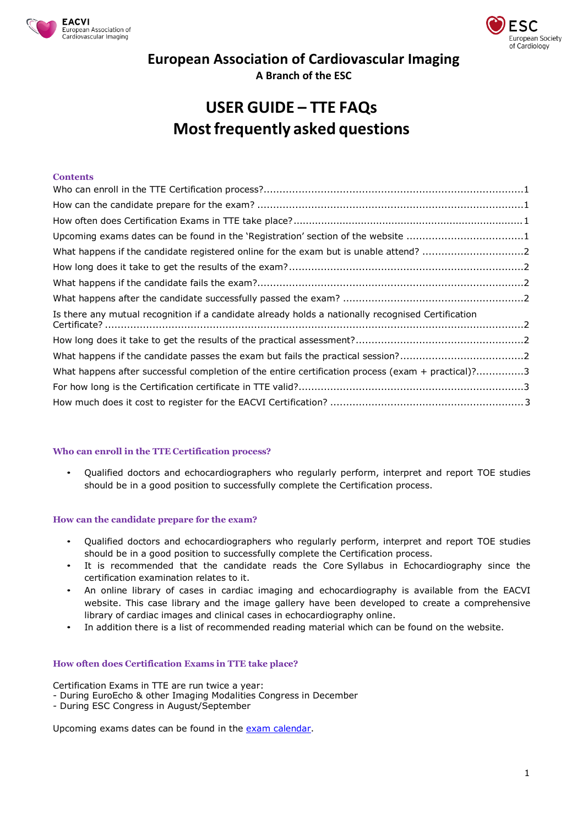



# **European Association of Cardiovascular Imaging**

**A Branch of the ESC**

# **USER GUIDE – TTE FAQs Mostfrequently asked questions**

## **Contents**

| Upcoming exams dates can be found in the 'Registration' section of the website 1                   |  |
|----------------------------------------------------------------------------------------------------|--|
| What happens if the candidate registered online for the exam but is unable attend? 2               |  |
|                                                                                                    |  |
|                                                                                                    |  |
|                                                                                                    |  |
| Is there any mutual recognition if a candidate already holds a nationally recognised Certification |  |
|                                                                                                    |  |
|                                                                                                    |  |
| What happens after successful completion of the entire certification process (exam + practical)?3  |  |
|                                                                                                    |  |
|                                                                                                    |  |

## <span id="page-0-0"></span>**Who can enroll in the TTE Certification process?**

• Qualified doctors and echocardiographers who regularly perform, interpret and report TOE studies should be in a good position to successfully complete the Certification process.

## <span id="page-0-1"></span>**How can the candidate prepare for the exam?**

- Qualified doctors and echocardiographers who regularly perform, interpret and report TOE studies should be in a good position to successfully complete the Certification process.
- It is recommended that the candidate reads the Core Syllabus in Echocardiography since the certification examination relates to it.
- An online library of cases in cardiac imaging and echocardiography is available from the EACVI [website.](http://www.escardio.org/Guidelines-%26-Education/E%E2%80%93learning/Clinical-cases/Cardiovascular-imaging/EduCAD) This case library and the image gallery have been developed to create a comprehensive library of cardiac images and clinical cases in echocardiography online.
- In addition there is a list of recommended reading material which can be found on the website.

## <span id="page-0-2"></span>**How often does Certification Exams in TTE take place?**

Certification Exams in TTE are run twice a year:

- During EuroEcho & other Imaging Modalities Congress in December
- During ESC Congress in August/September

<span id="page-0-3"></span>Upcoming exams dates can be found in the exam [calendar.](https://www.escardio.org/Education/Career-Development/Certification/EACVI-Certification-Accreditation)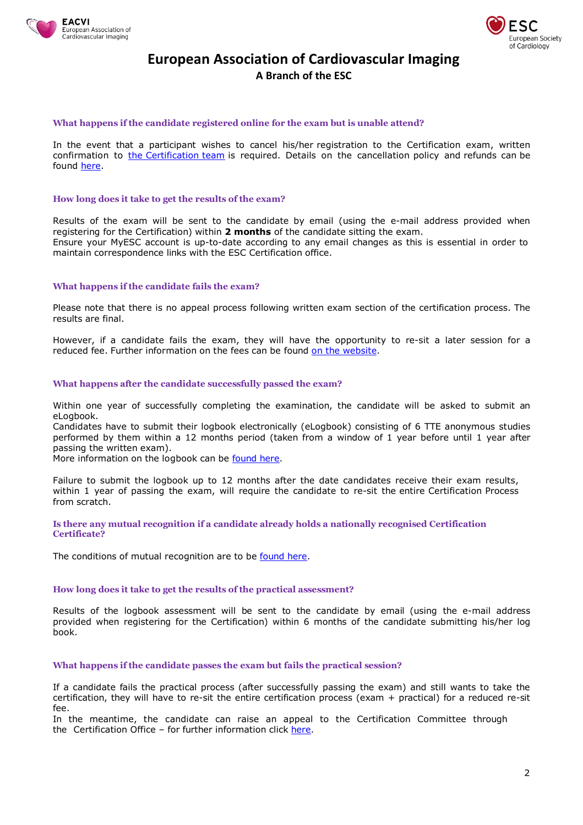



# **European Association of Cardiovascular Imaging A Branch of the ESC**

#### <span id="page-1-0"></span>**What happens if the candidate registered online for the exam but is unable attend?**

In the event that a participant wishes to cancel his/her registration to the Certification exam, written confirmation to [the Certification team](https://www.escardio.org/Contact) is required. Details on the cancellation policy and refunds can be found [here.](http://www.escardio.org/Guidelines-%26-Education/Career-development/Certification/Adult-Transthoracic-Echo/Adult-Transthoracic-Echocardiography-TTE)

#### <span id="page-1-1"></span>**How long does it take to get the results of the exam?**

Results of the exam will be sent to the candidate by email (using the e-mail address provided when registering for the Certification) within **2 months** of the candidate sitting the exam. Ensure your MyESC account is up-to-date according to any email changes as this is essential in order to maintain correspondence links with the ESC Certification office.

#### <span id="page-1-2"></span>**What happens if the candidate fails the exam?**

Please note that there is no appeal process following written exam section of the certification process. The results are final.

<span id="page-1-4"></span><span id="page-1-3"></span>However, if a candidate fails the exam, they will have the opportunity to re-sit a later session for a reduced fee. Further information on the fees can be found on the [website.](http://www.escardio.org/Guidelines-%26-Education/Career-development/Certification/Adult-Transthoracic-Echo/Adult-Transthoracic-Echocardiography-TTE)

#### **What happens after the candidate successfully passed the exam?**

Within one year of successfully completing the examination, the candidate will be asked to submit an eLogbook.

Candidates have to submit their logbook electronically (eLogbook) consisting of 6 TTE anonymous studies performed by them within a 12 months period (taken from a window of 1 year before until 1 year after passing the written exam).

More information on the logbook can be [found](http://www.escardio.org/Guidelines-%26-Education/Career-development/Certification/Adult-Transthoracic-Echo/Adult-Transthoracic-Echocardiography-TTE) here.

Failure to submit the logbook up to 12 months after the date candidates receive their exam results, within 1 year of passing the exam, will require the candidate to re-sit the entire Certification Process from scratch.

**Is there any mutual recognition if a candidate already holds a nationally recognised Certification Certificate?**

<span id="page-1-5"></span>The conditions of mutual recognition are to be [found](http://www.escardio.org/Guidelines-%26-Education/Career-development/Certification/EACVI-mutual-recognition) here.

#### **How long does it take to get the results of the practical assessment?**

<span id="page-1-6"></span>Results of the logbook assessment will be sent to the candidate by email (using the e-mail address provided when registering for the Certification) within 6 months of the candidate submitting his/her log book.

**What happens if the candidate passes the exam but fails the practical session?**

If a candidate fails the practical process (after successfully passing the exam) and still wants to take the certification, they will have to re-sit the entire certification process (exam + practical) for a reduced re-sit fee.

In the meantime, the candidate can raise an appeal to the Certification Committee through the Certification Office - for further information click [here.](http://www.escardio.org/Guidelines-%26-Education/Career-development/Certification/Adult-Transthoracic-Echo/Adult-Transthoracic-Echocardiography-TTE)